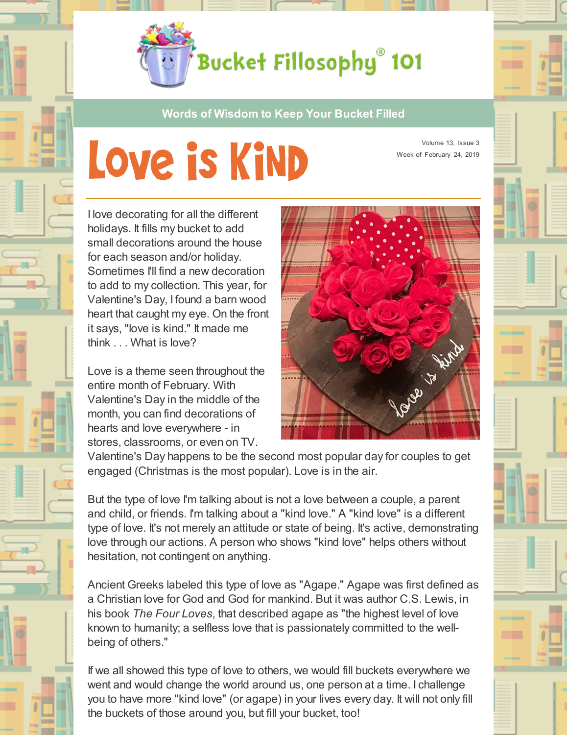

**Words of Wisdom to Keep Your Bucket Filled**

## Love is KiND

Volume 13, Issue 3 Week of February 24, 2019

I love decorating for all the different holidays. It fills my bucket to add small decorations around the house for each season and/or holiday. Sometimes I'll find a new decoration to add to my collection. This year, for Valentine's Day, I found a barn wood heart that caught my eye. On the front it says, "love is kind." It made me think . . . What is love?

Love is a theme seen throughout the entire month of February. With Valentine's Day in the middle of the month, you can find decorations of hearts and love everywhere - in stores, classrooms, or even on TV.



Valentine's Day happens to be the second most popular day for couples to get engaged (Christmas is the most popular). Love is in the air.

But the type of love I'm talking about is not a love between a couple, a parent and child, or friends. I'm talking about a "kind love." A "kind love" is a different type of love. It's not merely an attitude or state of being. It's active, demonstrating love through our actions. A person who shows "kind love" helps others without hesitation, not contingent on anything.

Ancient Greeks labeled this type of love as "Agape." Agape was first defined as a Christian love for God and God for mankind. But it was author C.S. Lewis, in his book *The Four Loves*, that described agape as "the highest level of love known to humanity; a selfless love that is passionately committed to the wellbeing of others."

If we all showed this type of love to others, we would fill buckets everywhere we went and would change the world around us, one person at a time. I challenge you to have more "kind love" (or agape) in your lives every day. It will not only fill the buckets of those around you, but fill your bucket, too!